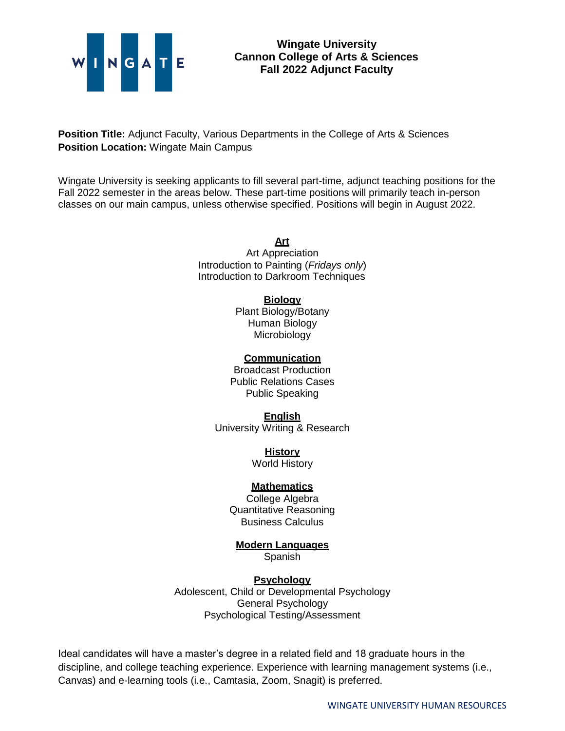

## **Wingate University Cannon College of Arts & Sciences Fall 2022 Adjunct Faculty**

**Position Title:** Adjunct Faculty, Various Departments in the College of Arts & Sciences **Position Location:** Wingate Main Campus

Wingate University is seeking applicants to fill several part-time, adjunct teaching positions for the Fall 2022 semester in the areas below. These part-time positions will primarily teach in-person classes on our main campus, unless otherwise specified. Positions will begin in August 2022.

> **Art** Art Appreciation Introduction to Painting (*Fridays only*) Introduction to Darkroom Techniques

#### **Biology**

Plant Biology/Botany Human Biology Microbiology

#### **Communication**

Broadcast Production Public Relations Cases Public Speaking

#### **English**

University Writing & Research

**History**

World History

## **Mathematics**

College Algebra Quantitative Reasoning Business Calculus

# **Modern Languages**

Spanish

## **Psychology**

Adolescent, Child or Developmental Psychology General Psychology Psychological Testing/Assessment

Ideal candidates will have a master's degree in a related field and 18 graduate hours in the discipline, and college teaching experience. Experience with learning management systems (i.e., Canvas) and e-learning tools (i.e., Camtasia, Zoom, Snagit) is preferred.